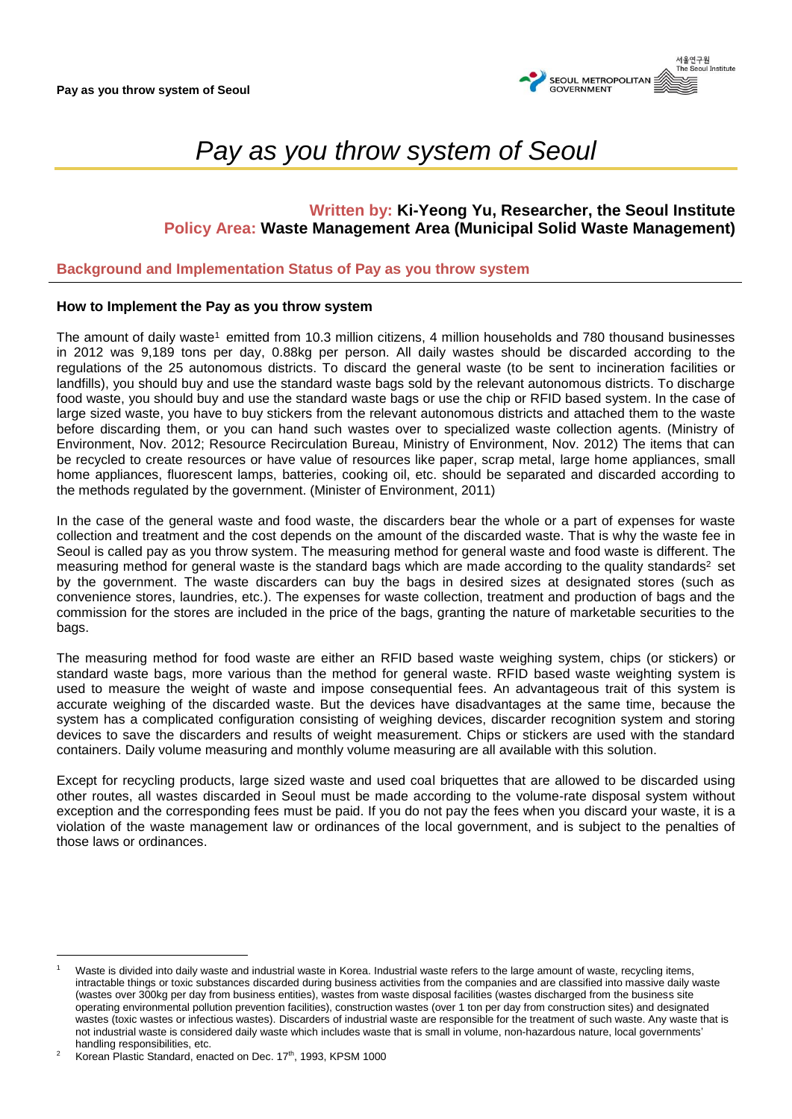

# **Written by: Ki-Yeong Yu, Researcher, the Seoul Institute Policy Area: Waste Management Area (Municipal Solid Waste Management)**

## **Background and Implementation Status of Pay as you throw system**

## **How to Implement the Pay as you throw system**

The amount of daily waste<sup>1</sup> emitted from 10.3 million citizens, 4 million households and 780 thousand businesses in 2012 was 9,189 tons per day, 0.88kg per person. All daily wastes should be discarded according to the regulations of the 25 autonomous districts. To discard the general waste (to be sent to incineration facilities or landfills), you should buy and use the standard waste bags sold by the relevant autonomous districts. To discharge food waste, you should buy and use the standard waste bags or use the chip or RFID based system. In the case of large sized waste, you have to buy stickers from the relevant autonomous districts and attached them to the waste before discarding them, or you can hand such wastes over to specialized waste collection agents. (Ministry of Environment, Nov. 2012; Resource Recirculation Bureau, Ministry of Environment, Nov. 2012) The items that can be recycled to create resources or have value of resources like paper, scrap metal, large home appliances, small home appliances, fluorescent lamps, batteries, cooking oil, etc. should be separated and discarded according to the methods regulated by the government. (Minister of Environment, 2011)

In the case of the general waste and food waste, the discarders bear the whole or a part of expenses for waste collection and treatment and the cost depends on the amount of the discarded waste. That is why the waste fee in Seoul is called pay as you throw system. The measuring method for general waste and food waste is different. The measuring method for general waste is the standard bags which are made according to the quality standards<sup>2</sup> set by the government. The waste discarders can buy the bags in desired sizes at designated stores (such as convenience stores, laundries, etc.). The expenses for waste collection, treatment and production of bags and the commission for the stores are included in the price of the bags, granting the nature of marketable securities to the bags.

The measuring method for food waste are either an RFID based waste weighing system, chips (or stickers) or standard waste bags, more various than the method for general waste. RFID based waste weighting system is used to measure the weight of waste and impose consequential fees. An advantageous trait of this system is accurate weighing of the discarded waste. But the devices have disadvantages at the same time, because the system has a complicated configuration consisting of weighing devices, discarder recognition system and storing devices to save the discarders and results of weight measurement. Chips or stickers are used with the standard containers. Daily volume measuring and monthly volume measuring are all available with this solution.

Except for recycling products, large sized waste and used coal briquettes that are allowed to be discarded using other routes, all wastes discarded in Seoul must be made according to the volume-rate disposal system without exception and the corresponding fees must be paid. If you do not pay the fees when you discard your waste, it is a violation of the waste management law or ordinances of the local government, and is subject to the penalties of those laws or ordinances.

Waste is divided into daily waste and industrial waste in Korea. Industrial waste refers to the large amount of waste, recycling items, intractable things or toxic substances discarded during business activities from the companies and are classified into massive daily waste (wastes over 300kg per day from business entities), wastes from waste disposal facilities (wastes discharged from the business site operating environmental pollution prevention facilities), construction wastes (over 1 ton per day from construction sites) and designated wastes (toxic wastes or infectious wastes). Discarders of industrial waste are responsible for the treatment of such waste. Any waste that is not industrial waste is considered daily waste which includes waste that is small in volume, non-hazardous nature, local governments' handling responsibilities, etc.

<sup>&</sup>lt;sup>2</sup> Korean Plastic Standard, enacted on Dec.  $17<sup>th</sup>$ , 1993, KPSM 1000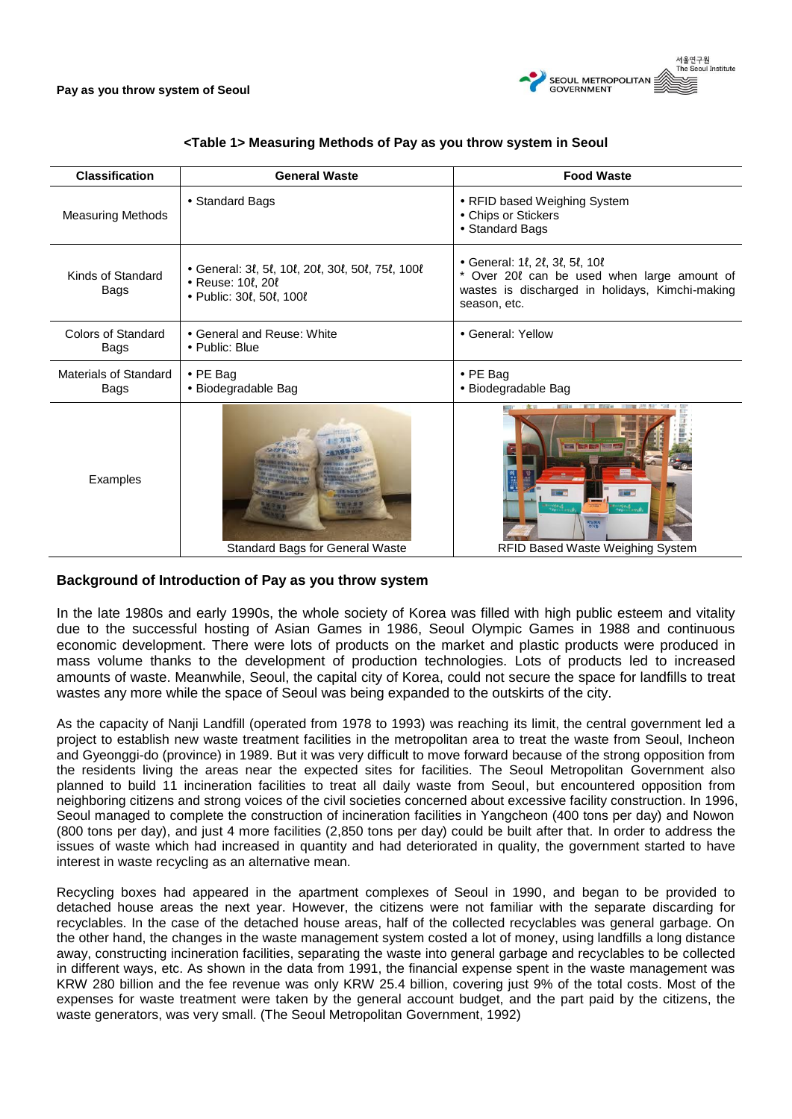

| <b>Classification</b>         | <b>General Waste</b>                                                                                                  | <b>Food Waste</b>                                                                                                                                             |
|-------------------------------|-----------------------------------------------------------------------------------------------------------------------|---------------------------------------------------------------------------------------------------------------------------------------------------------------|
| <b>Measuring Methods</b>      | • Standard Bags                                                                                                       | • RFID based Weighing System<br>• Chips or Stickers<br>• Standard Bags                                                                                        |
| Kinds of Standard<br>Bags     | • General: 3l, 5l, 10l, 20l, 30l, 50l, 75l, 100l<br>· Reuse: 10ℓ, 20ℓ<br>• Public: 30 $\ell$ , 50 $\ell$ , 100 $\ell$ | • General: 1l, 2l, 3l, 5l, 10l<br>$^{\star}$<br>Over 20 t can be used when large amount of<br>wastes is discharged in holidays, Kimchi-making<br>season, etc. |
| Colors of Standard<br>Bags    | • General and Reuse: White<br>• Public: Blue                                                                          | • General: Yellow                                                                                                                                             |
| Materials of Standard<br>Bags | $\bullet$ PE Bag<br>• Biodegradable Bag                                                                               | $\cdot$ PE Bag<br>• Biodegradable Bag                                                                                                                         |
| Examples                      | <b>Standard Bags for General Waste</b>                                                                                | E<br>oland<br>The Strait<br>비닐했지<br>수거화<br>RFID Based Waste Weighing System                                                                                   |

## **<Table 1> Measuring Methods of Pay as you throw system in Seoul**

# **Background of Introduction of Pay as you throw system**

In the late 1980s and early 1990s, the whole society of Korea was filled with high public esteem and vitality due to the successful hosting of Asian Games in 1986, Seoul Olympic Games in 1988 and continuous economic development. There were lots of products on the market and plastic products were produced in mass volume thanks to the development of production technologies. Lots of products led to increased amounts of waste. Meanwhile, Seoul, the capital city of Korea, could not secure the space for landfills to treat wastes any more while the space of Seoul was being expanded to the outskirts of the city.

As the capacity of Nanji Landfill (operated from 1978 to 1993) was reaching its limit, the central government led a project to establish new waste treatment facilities in the metropolitan area to treat the waste from Seoul, Incheon and Gyeonggi-do (province) in 1989. But it was very difficult to move forward because of the strong opposition from the residents living the areas near the expected sites for facilities. The Seoul Metropolitan Government also planned to build 11 incineration facilities to treat all daily waste from Seoul, but encountered opposition from neighboring citizens and strong voices of the civil societies concerned about excessive facility construction. In 1996, Seoul managed to complete the construction of incineration facilities in Yangcheon (400 tons per day) and Nowon (800 tons per day), and just 4 more facilities (2,850 tons per day) could be built after that. In order to address the issues of waste which had increased in quantity and had deteriorated in quality, the government started to have interest in waste recycling as an alternative mean.

Recycling boxes had appeared in the apartment complexes of Seoul in 1990, and began to be provided to detached house areas the next year. However, the citizens were not familiar with the separate discarding for recyclables. In the case of the detached house areas, half of the collected recyclables was general garbage. On the other hand, the changes in the waste management system costed a lot of money, using landfills a long distance away, constructing incineration facilities, separating the waste into general garbage and recyclables to be collected in different ways, etc. As shown in the data from 1991, the financial expense spent in the waste management was KRW 280 billion and the fee revenue was only KRW 25.4 billion, covering just 9% of the total costs. Most of the expenses for waste treatment were taken by the general account budget, and the part paid by the citizens, the waste generators, was very small. (The Seoul Metropolitan Government, 1992)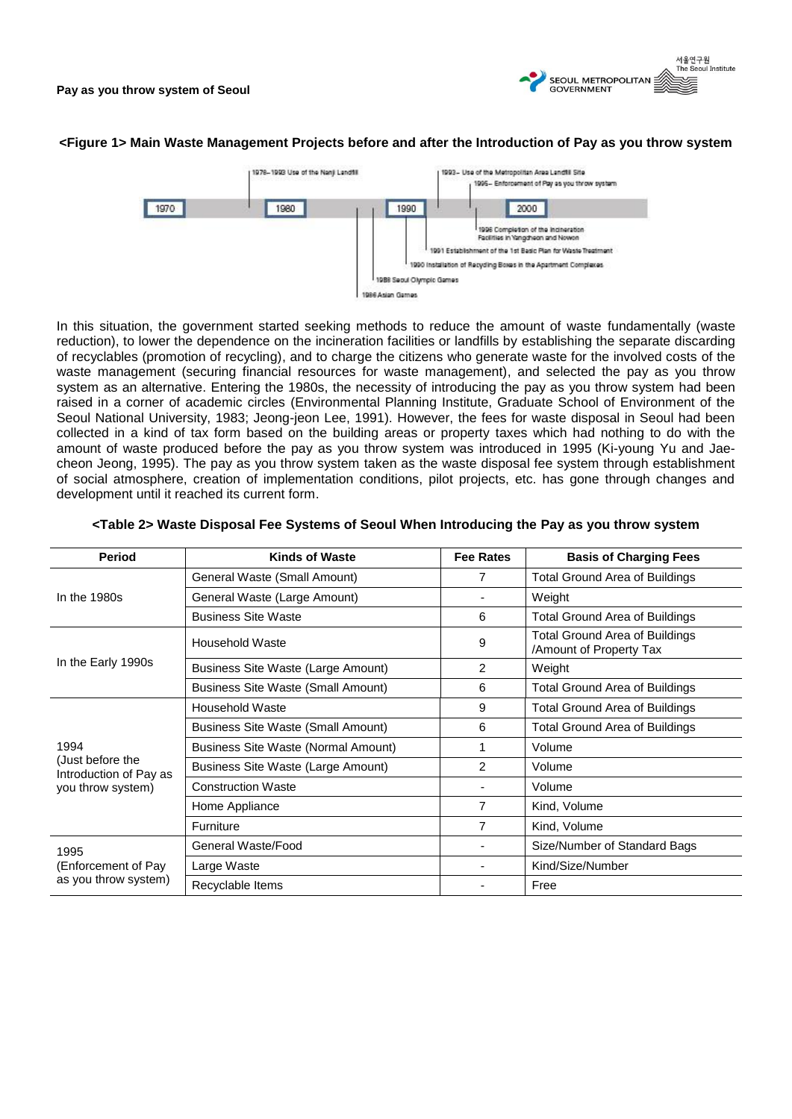

#### **<Figure 1> Main Waste Management Projects before and after the Introduction of Pay as you throw system**



In this situation, the government started seeking methods to reduce the amount of waste fundamentally (waste reduction), to lower the dependence on the incineration facilities or landfills by establishing the separate discarding of recyclables (promotion of recycling), and to charge the citizens who generate waste for the involved costs of the waste management (securing financial resources for waste management), and selected the pay as you throw system as an alternative. Entering the 1980s, the necessity of introducing the pay as you throw system had been raised in a corner of academic circles (Environmental Planning Institute, Graduate School of Environment of the Seoul National University, 1983; Jeong-jeon Lee, 1991). However, the fees for waste disposal in Seoul had been collected in a kind of tax form based on the building areas or property taxes which had nothing to do with the amount of waste produced before the pay as you throw system was introduced in 1995 (Ki-young Yu and Jaecheon Jeong, 1995). The pay as you throw system taken as the waste disposal fee system through establishment of social atmosphere, creation of implementation conditions, pilot projects, etc. has gone through changes and development until it reached its current form.

| <b>Period</b>                                                           | <b>Kinds of Waste</b>                     | <b>Fee Rates</b> | <b>Basis of Charging Fees</b>                             |
|-------------------------------------------------------------------------|-------------------------------------------|------------------|-----------------------------------------------------------|
|                                                                         | General Waste (Small Amount)              | 7                | <b>Total Ground Area of Buildings</b>                     |
| In the $1980s$                                                          | General Waste (Large Amount)              |                  | Weight                                                    |
|                                                                         | <b>Business Site Waste</b>                | 6                | <b>Total Ground Area of Buildings</b>                     |
|                                                                         | Household Waste                           | 9                | Total Ground Area of Buildings<br>/Amount of Property Tax |
| In the Early 1990s                                                      | Business Site Waste (Large Amount)        | 2                | Weight                                                    |
|                                                                         | <b>Business Site Waste (Small Amount)</b> | 6                | <b>Total Ground Area of Buildings</b>                     |
|                                                                         | Household Waste                           | 9                | Total Ground Area of Buildings                            |
|                                                                         | <b>Business Site Waste (Small Amount)</b> | 6                | <b>Total Ground Area of Buildings</b>                     |
| 1994<br>(Just before the<br>Introduction of Pay as<br>you throw system) | Business Site Waste (Normal Amount)       | 1                | Volume                                                    |
|                                                                         | Business Site Waste (Large Amount)        | 2                | Volume                                                    |
|                                                                         | <b>Construction Waste</b>                 |                  | Volume                                                    |
|                                                                         | Home Appliance                            | $\overline{7}$   | Kind, Volume                                              |
|                                                                         | <b>Furniture</b>                          | 7                | Kind, Volume                                              |
| 1995<br>(Enforcement of Pay<br>as you throw system)                     | General Waste/Food                        |                  | Size/Number of Standard Bags                              |
|                                                                         | Large Waste                               |                  | Kind/Size/Number                                          |
|                                                                         | Recyclable Items                          |                  | Free                                                      |

#### **<Table 2> Waste Disposal Fee Systems of Seoul When Introducing the Pay as you throw system**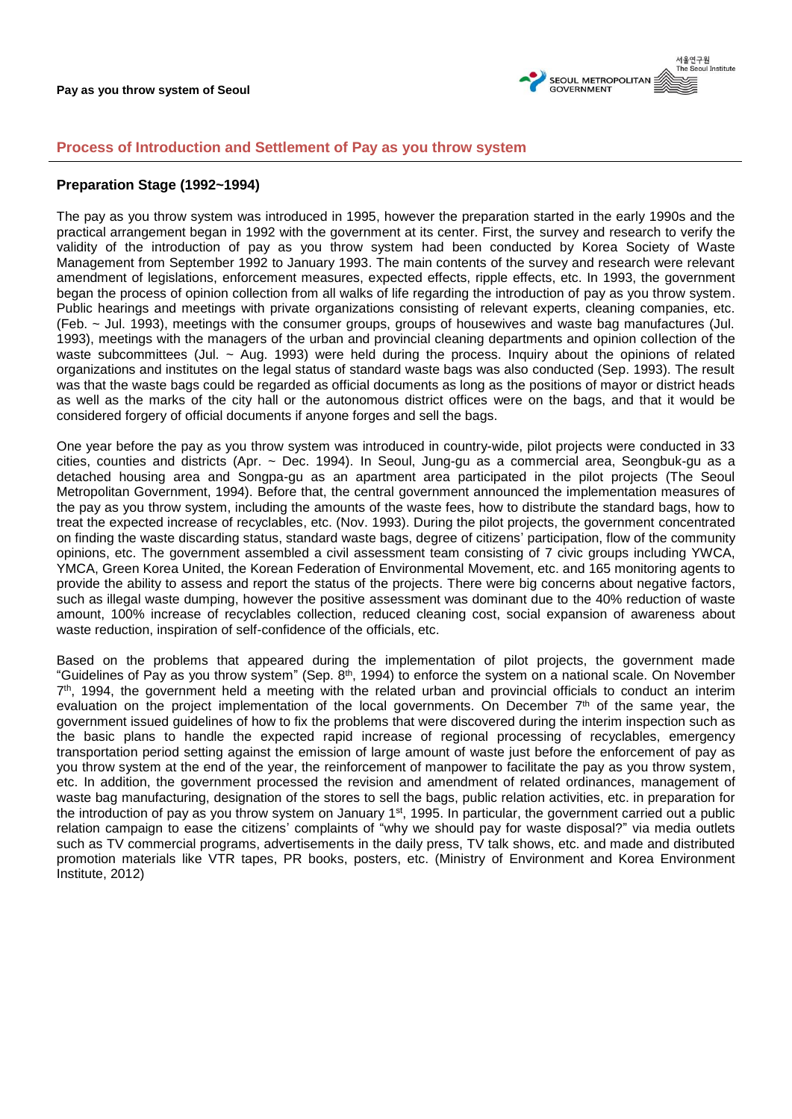

## **Process of Introduction and Settlement of Pay as you throw system**

## **Preparation Stage (1992~1994)**

The pay as you throw system was introduced in 1995, however the preparation started in the early 1990s and the practical arrangement began in 1992 with the government at its center. First, the survey and research to verify the validity of the introduction of pay as you throw system had been conducted by Korea Society of Waste Management from September 1992 to January 1993. The main contents of the survey and research were relevant amendment of legislations, enforcement measures, expected effects, ripple effects, etc. In 1993, the government began the process of opinion collection from all walks of life regarding the introduction of pay as you throw system. Public hearings and meetings with private organizations consisting of relevant experts, cleaning companies, etc. (Feb. ~ Jul. 1993), meetings with the consumer groups, groups of housewives and waste bag manufactures (Jul. 1993), meetings with the managers of the urban and provincial cleaning departments and opinion collection of the waste subcommittees (Jul. ~ Aug. 1993) were held during the process. Inquiry about the opinions of related organizations and institutes on the legal status of standard waste bags was also conducted (Sep. 1993). The result was that the waste bags could be regarded as official documents as long as the positions of mayor or district heads as well as the marks of the city hall or the autonomous district offices were on the bags, and that it would be considered forgery of official documents if anyone forges and sell the bags.

One year before the pay as you throw system was introduced in country-wide, pilot projects were conducted in 33 cities, counties and districts (Apr. ~ Dec. 1994). In Seoul, Jung-gu as a commercial area, Seongbuk-gu as a detached housing area and Songpa-gu as an apartment area participated in the pilot projects (The Seoul Metropolitan Government, 1994). Before that, the central government announced the implementation measures of the pay as you throw system, including the amounts of the waste fees, how to distribute the standard bags, how to treat the expected increase of recyclables, etc. (Nov. 1993). During the pilot projects, the government concentrated on finding the waste discarding status, standard waste bags, degree of citizens' participation, flow of the community opinions, etc. The government assembled a civil assessment team consisting of 7 civic groups including YWCA, YMCA, Green Korea United, the Korean Federation of Environmental Movement, etc. and 165 monitoring agents to provide the ability to assess and report the status of the projects. There were big concerns about negative factors, such as illegal waste dumping, however the positive assessment was dominant due to the 40% reduction of waste amount, 100% increase of recyclables collection, reduced cleaning cost, social expansion of awareness about waste reduction, inspiration of self-confidence of the officials, etc.

Based on the problems that appeared during the implementation of pilot projects, the government made "Guidelines of Pay as you throw system" (Sep. 8<sup>th</sup>, 1994) to enforce the system on a national scale. On November 7<sup>th</sup>, 1994, the government held a meeting with the related urban and provincial officials to conduct an interim evaluation on the project implementation of the local governments. On December  $7<sup>th</sup>$  of the same year, the government issued guidelines of how to fix the problems that were discovered during the interim inspection such as the basic plans to handle the expected rapid increase of regional processing of recyclables, emergency transportation period setting against the emission of large amount of waste just before the enforcement of pay as you throw system at the end of the year, the reinforcement of manpower to facilitate the pay as you throw system, etc. In addition, the government processed the revision and amendment of related ordinances, management of waste bag manufacturing, designation of the stores to sell the bags, public relation activities, etc. in preparation for the introduction of pay as you throw system on January 1<sup>st</sup>, 1995. In particular, the government carried out a public relation campaign to ease the citizens' complaints of "why we should pay for waste disposal?" via media outlets such as TV commercial programs, advertisements in the daily press, TV talk shows, etc. and made and distributed promotion materials like VTR tapes, PR books, posters, etc. (Ministry of Environment and Korea Environment Institute, 2012)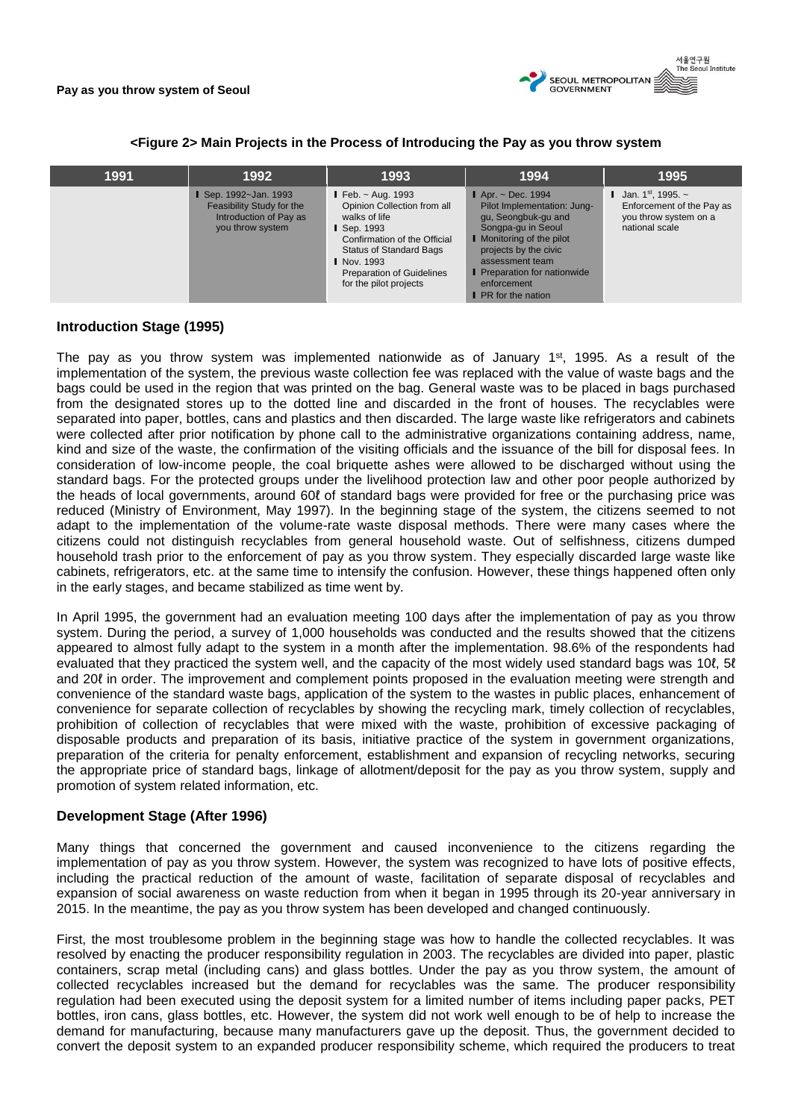

**<Figure 2> Main Projects in the Process of Introducing the Pay as you throw system**

| 1991 | 1992                                                                                                    | 1993                                                                                                                                                                                                                                       | 1994                                                                                                                                                                                                                                                                 | 1995                                                                                           |
|------|---------------------------------------------------------------------------------------------------------|--------------------------------------------------------------------------------------------------------------------------------------------------------------------------------------------------------------------------------------------|----------------------------------------------------------------------------------------------------------------------------------------------------------------------------------------------------------------------------------------------------------------------|------------------------------------------------------------------------------------------------|
|      | <b>I</b> Sep. 1992~Jan. 1993<br>Feasibility Study for the<br>Introduction of Pay as<br>you throw system | <b>I</b> Feb. $\sim$ Aug. 1993<br>Opinion Collection from all<br>walks of life<br>Sep. 1993<br>Confirmation of the Official<br><b>Status of Standard Bags</b><br>  Nov. 1993<br><b>Preparation of Guidelines</b><br>for the pilot projects | $\blacksquare$ Apr. ~ Dec. 1994<br>Pilot Implementation: Jung-<br>gu, Seongbuk-gu and<br>Songpa-gu in Seoul<br>I Monitoring of the pilot<br>projects by the civic<br>assessment team<br><b>Preparation for nationwide</b><br>enforcement<br><b>PR</b> for the nation | Jan. 1st, 1995. $\sim$<br>Enforcement of the Pay as<br>you throw system on a<br>national scale |

## **Introduction Stage (1995)**

The pay as you throw system was implemented nationwide as of January 1<sup>st</sup>, 1995. As a result of the implementation of the system, the previous waste collection fee was replaced with the value of waste bags and the bags could be used in the region that was printed on the bag. General waste was to be placed in bags purchased from the designated stores up to the dotted line and discarded in the front of houses. The recyclables were separated into paper, bottles, cans and plastics and then discarded. The large waste like refrigerators and cabinets were collected after prior notification by phone call to the administrative organizations containing address, name, kind and size of the waste, the confirmation of the visiting officials and the issuance of the bill for disposal fees. In consideration of low-income people, the coal briquette ashes were allowed to be discharged without using the standard bags. For the protected groups under the livelihood protection law and other poor people authorized by the heads of local governments, around 60ℓ of standard bags were provided for free or the purchasing price was reduced (Ministry of Environment, May 1997). In the beginning stage of the system, the citizens seemed to not adapt to the implementation of the volume-rate waste disposal methods. There were many cases where the citizens could not distinguish recyclables from general household waste. Out of selfishness, citizens dumped household trash prior to the enforcement of pay as you throw system. They especially discarded large waste like cabinets, refrigerators, etc. at the same time to intensify the confusion. However, these things happened often only in the early stages, and became stabilized as time went by.

In April 1995, the government had an evaluation meeting 100 days after the implementation of pay as you throw system. During the period, a survey of 1,000 households was conducted and the results showed that the citizens appeared to almost fully adapt to the system in a month after the implementation. 98.6% of the respondents had evaluated that they practiced the system well, and the capacity of the most widely used standard bags was 10ℓ, 5ℓ and 20ℓ in order. The improvement and complement points proposed in the evaluation meeting were strength and convenience of the standard waste bags, application of the system to the wastes in public places, enhancement of convenience for separate collection of recyclables by showing the recycling mark, timely collection of recyclables, prohibition of collection of recyclables that were mixed with the waste, prohibition of excessive packaging of disposable products and preparation of its basis, initiative practice of the system in government organizations, preparation of the criteria for penalty enforcement, establishment and expansion of recycling networks, securing the appropriate price of standard bags, linkage of allotment/deposit for the pay as you throw system, supply and promotion of system related information, etc.

## **Development Stage (After 1996)**

Many things that concerned the government and caused inconvenience to the citizens regarding the implementation of pay as you throw system. However, the system was recognized to have lots of positive effects, including the practical reduction of the amount of waste, facilitation of separate disposal of recyclables and expansion of social awareness on waste reduction from when it began in 1995 through its 20-year anniversary in 2015. In the meantime, the pay as you throw system has been developed and changed continuously.

First, the most troublesome problem in the beginning stage was how to handle the collected recyclables. It was resolved by enacting the producer responsibility regulation in 2003. The recyclables are divided into paper, plastic containers, scrap metal (including cans) and glass bottles. Under the pay as you throw system, the amount of collected recyclables increased but the demand for recyclables was the same. The producer responsibility regulation had been executed using the deposit system for a limited number of items including paper packs, PET bottles, iron cans, glass bottles, etc. However, the system did not work well enough to be of help to increase the demand for manufacturing, because many manufacturers gave up the deposit. Thus, the government decided to convert the deposit system to an expanded producer responsibility scheme, which required the producers to treat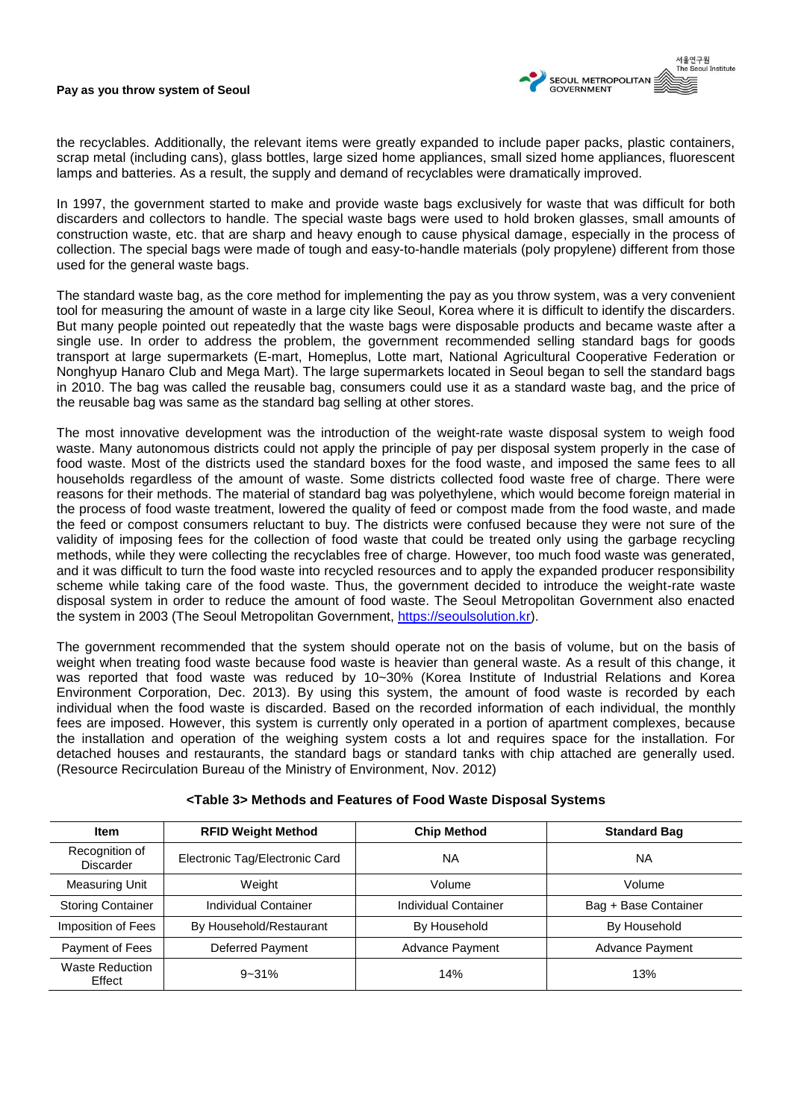

the recyclables. Additionally, the relevant items were greatly expanded to include paper packs, plastic containers, scrap metal (including cans), glass bottles, large sized home appliances, small sized home appliances, fluorescent lamps and batteries. As a result, the supply and demand of recyclables were dramatically improved.

In 1997, the government started to make and provide waste bags exclusively for waste that was difficult for both discarders and collectors to handle. The special waste bags were used to hold broken glasses, small amounts of construction waste, etc. that are sharp and heavy enough to cause physical damage, especially in the process of collection. The special bags were made of tough and easy-to-handle materials (poly propylene) different from those used for the general waste bags.

The standard waste bag, as the core method for implementing the pay as you throw system, was a very convenient tool for measuring the amount of waste in a large city like Seoul, Korea where it is difficult to identify the discarders. But many people pointed out repeatedly that the waste bags were disposable products and became waste after a single use. In order to address the problem, the government recommended selling standard bags for goods transport at large supermarkets (E-mart, Homeplus, Lotte mart, National Agricultural Cooperative Federation or Nonghyup Hanaro Club and Mega Mart). The large supermarkets located in Seoul began to sell the standard bags in 2010. The bag was called the reusable bag, consumers could use it as a standard waste bag, and the price of the reusable bag was same as the standard bag selling at other stores.

The most innovative development was the introduction of the weight-rate waste disposal system to weigh food waste. Many autonomous districts could not apply the principle of pay per disposal system properly in the case of food waste. Most of the districts used the standard boxes for the food waste, and imposed the same fees to all households regardless of the amount of waste. Some districts collected food waste free of charge. There were reasons for their methods. The material of standard bag was polyethylene, which would become foreign material in the process of food waste treatment, lowered the quality of feed or compost made from the food waste, and made the feed or compost consumers reluctant to buy. The districts were confused because they were not sure of the validity of imposing fees for the collection of food waste that could be treated only using the garbage recycling methods, while they were collecting the recyclables free of charge. However, too much food waste was generated, and it was difficult to turn the food waste into recycled resources and to apply the expanded producer responsibility scheme while taking care of the food waste. Thus, the government decided to introduce the weight-rate waste disposal system in order to reduce the amount of food waste. The Seoul Metropolitan Government also enacted the system in 2003 (The Seoul Metropolitan Government, [https://seoulsolution.kr\)](https://seoulsolution.kr/).

The government recommended that the system should operate not on the basis of volume, but on the basis of weight when treating food waste because food waste is heavier than general waste. As a result of this change, it was reported that food waste was reduced by 10~30% (Korea Institute of Industrial Relations and Korea Environment Corporation, Dec. 2013). By using this system, the amount of food waste is recorded by each individual when the food waste is discarded. Based on the recorded information of each individual, the monthly fees are imposed. However, this system is currently only operated in a portion of apartment complexes, because the installation and operation of the weighing system costs a lot and requires space for the installation. For detached houses and restaurants, the standard bags or standard tanks with chip attached are generally used. (Resource Recirculation Bureau of the Ministry of Environment, Nov. 2012)

| <b>Item</b>                        | <b>RFID Weight Method</b>      | <b>Chip Method</b>          | <b>Standard Bag</b>  |
|------------------------------------|--------------------------------|-----------------------------|----------------------|
| Recognition of<br><b>Discarder</b> | Electronic Tag/Electronic Card | ΝA                          | ΝA                   |
| <b>Measuring Unit</b>              | Weight                         | Volume                      | Volume               |
| <b>Storing Container</b>           | <b>Individual Container</b>    | <b>Individual Container</b> | Bag + Base Container |
| Imposition of Fees                 | By Household/Restaurant        | By Household                | By Household         |
| Payment of Fees                    | Deferred Payment               | Advance Payment             | Advance Payment      |
| <b>Waste Reduction</b><br>Effect   | $9 - 31%$                      | 14%                         | 13%                  |

## **<Table 3> Methods and Features of Food Waste Disposal Systems**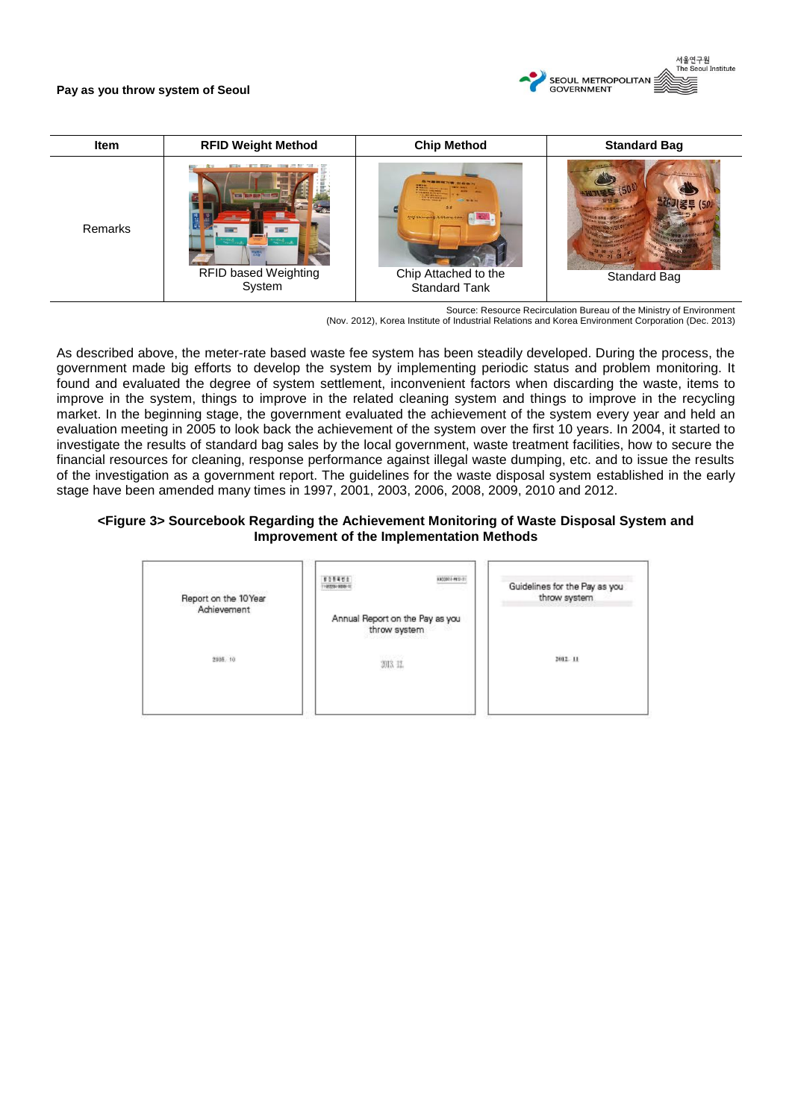

| <b>Item</b> | <b>RFID Weight Method</b>             | <b>Chip Method</b>                                                                                            | <b>Standard Bag</b> |
|-------------|---------------------------------------|---------------------------------------------------------------------------------------------------------------|---------------------|
| Remarks     | <b>RFID based Weighting</b><br>System | <b>TEER</b><br><b>CONTRACTOR</b><br>Airy thingson tittery.com<br>Chip Attached to the<br><b>Standard Tank</b> | Standard Bag        |

Source: Resource Recirculation Bureau of the Ministry of Environment

(Nov. 2012), Korea Institute of Industrial Relations and Korea Environment Corporation (Dec. 2013)

As described above, the meter-rate based waste fee system has been steadily developed. During the process, the government made big efforts to develop the system by implementing periodic status and problem monitoring. It found and evaluated the degree of system settlement, inconvenient factors when discarding the waste, items to improve in the system, things to improve in the related cleaning system and things to improve in the recycling market. In the beginning stage, the government evaluated the achievement of the system every year and held an evaluation meeting in 2005 to look back the achievement of the system over the first 10 years. In 2004, it started to investigate the results of standard bag sales by the local government, waste treatment facilities, how to secure the financial resources for cleaning, response performance against illegal waste dumping, etc. and to issue the results of the investigation as a government report. The guidelines for the waste disposal system established in the early stage have been amended many times in 1997, 2001, 2003, 2006, 2008, 2009, 2010 and 2012.

## **<Figure 3> Sourcebook Regarding the Achievement Monitoring of Waste Disposal System and Improvement of the Implementation Methods**

| Report on the 10Year | <b>SINUA</b><br>00003-010-3<br>$-0.09193 -$     | Guidelines for the Pay as you<br>throw system |
|----------------------|-------------------------------------------------|-----------------------------------------------|
| Achievement          | Annual Report on the Pay as you<br>throw system |                                               |
| 2005.10              | 2013. HL                                        | 2012 11                                       |
|                      |                                                 |                                               |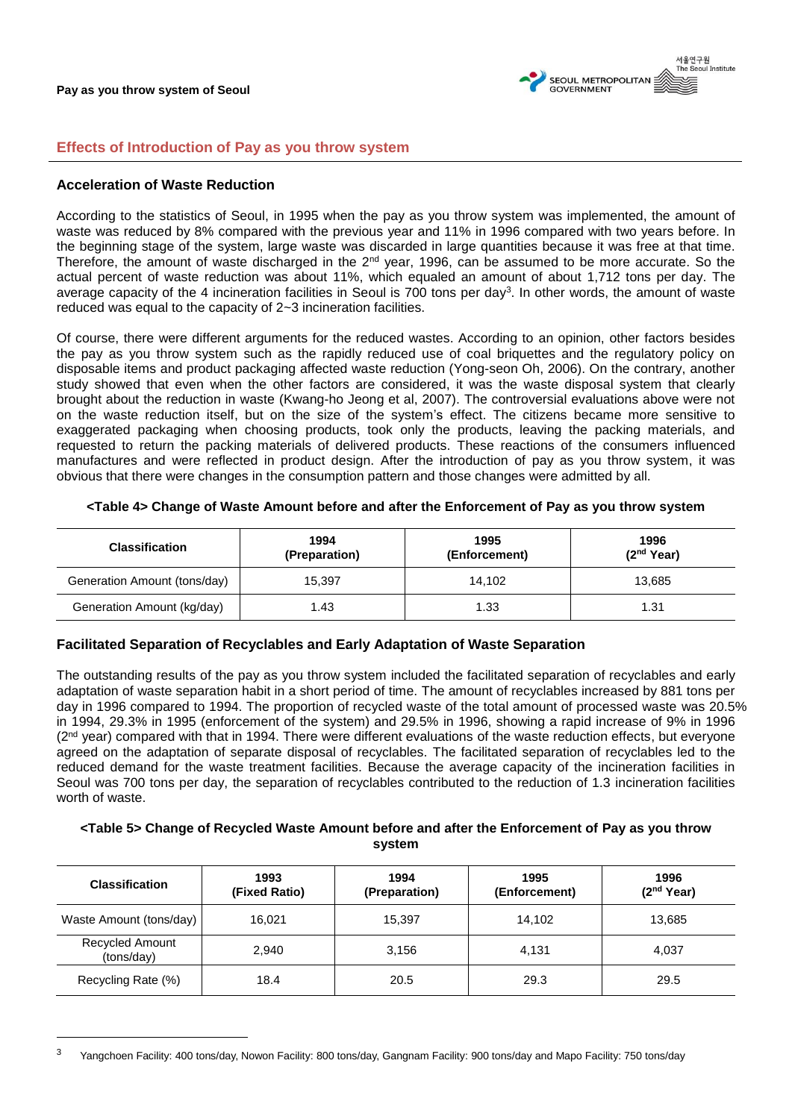서울연구원<br>The Seoul Institute SEOUL METROPOLITAN GOVERNMENT

## **Effects of Introduction of Pay as you throw system**

## **Acceleration of Waste Reduction**

 $\overline{a}$ 

According to the statistics of Seoul, in 1995 when the pay as you throw system was implemented, the amount of waste was reduced by 8% compared with the previous year and 11% in 1996 compared with two years before. In the beginning stage of the system, large waste was discarded in large quantities because it was free at that time. Therefore, the amount of waste discharged in the  $2<sup>nd</sup>$  year, 1996, can be assumed to be more accurate. So the actual percent of waste reduction was about 11%, which equaled an amount of about 1,712 tons per day. The average capacity of the 4 incineration facilities in Seoul is 700 tons per day<sup>3</sup>. In other words, the amount of waste reduced was equal to the capacity of 2~3 incineration facilities.

Of course, there were different arguments for the reduced wastes. According to an opinion, other factors besides the pay as you throw system such as the rapidly reduced use of coal briquettes and the regulatory policy on disposable items and product packaging affected waste reduction (Yong-seon Oh, 2006). On the contrary, another study showed that even when the other factors are considered, it was the waste disposal system that clearly brought about the reduction in waste (Kwang-ho Jeong et al, 2007). The controversial evaluations above were not on the waste reduction itself, but on the size of the system's effect. The citizens became more sensitive to exaggerated packaging when choosing products, took only the products, leaving the packing materials, and requested to return the packing materials of delivered products. These reactions of the consumers influenced manufactures and were reflected in product design. After the introduction of pay as you throw system, it was obvious that there were changes in the consumption pattern and those changes were admitted by all.

| <b>Classification</b>        | 1994<br>(Preparation) | 1995<br>(Enforcement) | 1996<br>(2 <sup>nd</sup> Year) |
|------------------------------|-----------------------|-----------------------|--------------------------------|
| Generation Amount (tons/day) | 15,397                | 14,102                | 13,685                         |
| Generation Amount (kg/day)   | 1.43                  | 1.33                  | 1.31                           |

#### **<Table 4> Change of Waste Amount before and after the Enforcement of Pay as you throw system**

## **Facilitated Separation of Recyclables and Early Adaptation of Waste Separation**

The outstanding results of the pay as you throw system included the facilitated separation of recyclables and early adaptation of waste separation habit in a short period of time. The amount of recyclables increased by 881 tons per day in 1996 compared to 1994. The proportion of recycled waste of the total amount of processed waste was 20.5% in 1994, 29.3% in 1995 (enforcement of the system) and 29.5% in 1996, showing a rapid increase of 9% in 1996 (2<sup>nd</sup> year) compared with that in 1994. There were different evaluations of the waste reduction effects, but everyone agreed on the adaptation of separate disposal of recyclables. The facilitated separation of recyclables led to the reduced demand for the waste treatment facilities. Because the average capacity of the incineration facilities in Seoul was 700 tons per day, the separation of recyclables contributed to the reduction of 1.3 incineration facilities worth of waste.

## **<Table 5> Change of Recycled Waste Amount before and after the Enforcement of Pay as you throw system**

| <b>Classification</b>         | 1993<br>(Fixed Ratio) | 1994<br>(Preparation) | 1995<br>(Enforcement) | 1996<br>(2 <sup>nd</sup> Year) |
|-------------------------------|-----------------------|-----------------------|-----------------------|--------------------------------|
| Waste Amount (tons/day)       | 16.021                | 15.397                | 14.102                | 13,685                         |
| Recycled Amount<br>(tons/day) | 2,940                 | 3,156                 | 4,131                 | 4.037                          |
| Recycling Rate (%)            | 18.4                  | 20.5                  | 29.3                  | 29.5                           |

<sup>&</sup>lt;sup>3</sup> Yangchoen Facility: 400 tons/day, Nowon Facility: 800 tons/day, Gangnam Facility: 900 tons/day and Mapo Facility: 750 tons/day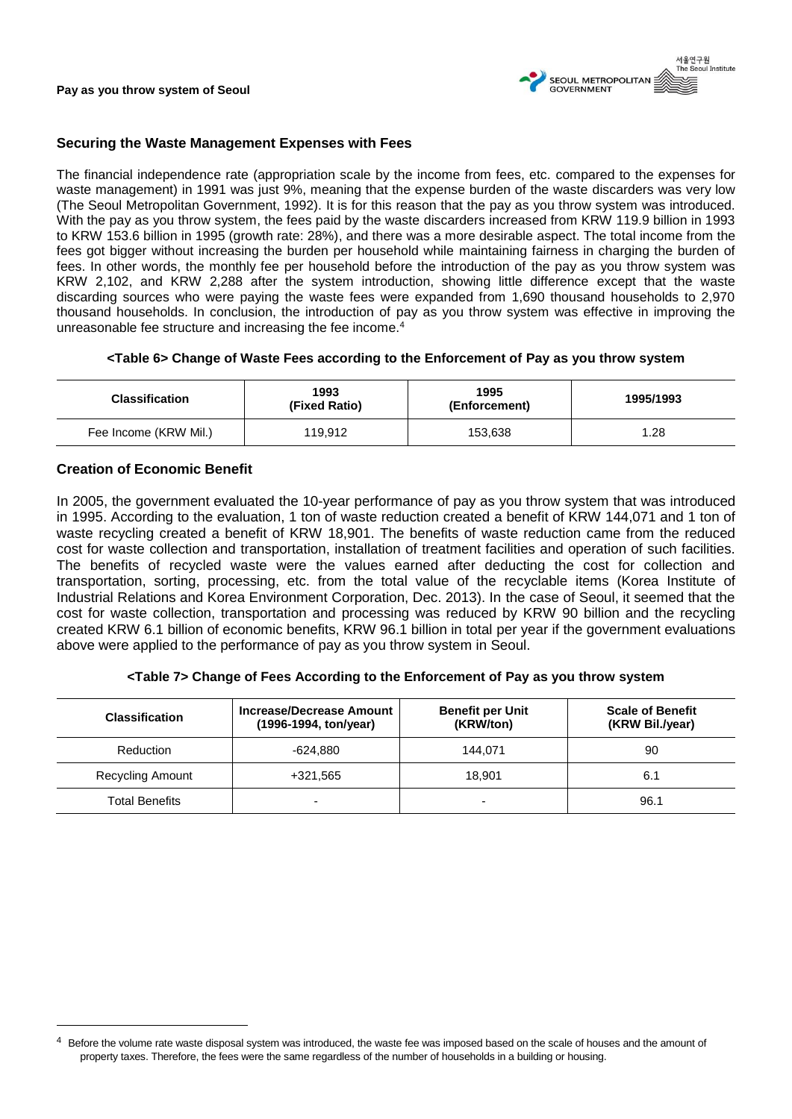

## **Securing the Waste Management Expenses with Fees**

The financial independence rate (appropriation scale by the income from fees, etc. compared to the expenses for waste management) in 1991 was just 9%, meaning that the expense burden of the waste discarders was very low (The Seoul Metropolitan Government, 1992). It is for this reason that the pay as you throw system was introduced. With the pay as you throw system, the fees paid by the waste discarders increased from KRW 119.9 billion in 1993 to KRW 153.6 billion in 1995 (growth rate: 28%), and there was a more desirable aspect. The total income from the fees got bigger without increasing the burden per household while maintaining fairness in charging the burden of fees. In other words, the monthly fee per household before the introduction of the pay as you throw system was KRW 2,102, and KRW 2,288 after the system introduction, showing little difference except that the waste discarding sources who were paying the waste fees were expanded from 1,690 thousand households to 2,970 thousand households. In conclusion, the introduction of pay as you throw system was effective in improving the unreasonable fee structure and increasing the fee income.<sup>4</sup>

## **<Table 6> Change of Waste Fees according to the Enforcement of Pay as you throw system**

| <b>Classification</b> | 1993<br>(Fixed Ratio) | 1995<br>(Enforcement) | 1995/1993 |
|-----------------------|-----------------------|-----------------------|-----------|
| Fee Income (KRW Mil.) | 119,912               | 153,638               | 1.28      |

## **Creation of Economic Benefit**

In 2005, the government evaluated the 10-year performance of pay as you throw system that was introduced in 1995. According to the evaluation, 1 ton of waste reduction created a benefit of KRW 144,071 and 1 ton of waste recycling created a benefit of KRW 18,901. The benefits of waste reduction came from the reduced cost for waste collection and transportation, installation of treatment facilities and operation of such facilities. The benefits of recycled waste were the values earned after deducting the cost for collection and transportation, sorting, processing, etc. from the total value of the recyclable items (Korea Institute of Industrial Relations and Korea Environment Corporation, Dec. 2013). In the case of Seoul, it seemed that the cost for waste collection, transportation and processing was reduced by KRW 90 billion and the recycling created KRW 6.1 billion of economic benefits, KRW 96.1 billion in total per year if the government evaluations above were applied to the performance of pay as you throw system in Seoul.

## **<Table 7> Change of Fees According to the Enforcement of Pay as you throw system**

| <b>Classification</b>   | Increase/Decrease Amount<br>(1996-1994, ton/year) | <b>Benefit per Unit</b><br>(KRW/ton) | <b>Scale of Benefit</b><br>(KRW Bil./year) |
|-------------------------|---------------------------------------------------|--------------------------------------|--------------------------------------------|
| Reduction               | -624.880                                          | 144.071                              | 90                                         |
| <b>Recycling Amount</b> | +321.565                                          | 18.901                               | 6.1                                        |
| <b>Total Benefits</b>   | $\overline{\phantom{0}}$                          |                                      | 96.1                                       |

Before the volume rate waste disposal system was introduced, the waste fee was imposed based on the scale of houses and the amount of property taxes. Therefore, the fees were the same regardless of the number of households in a building or housing.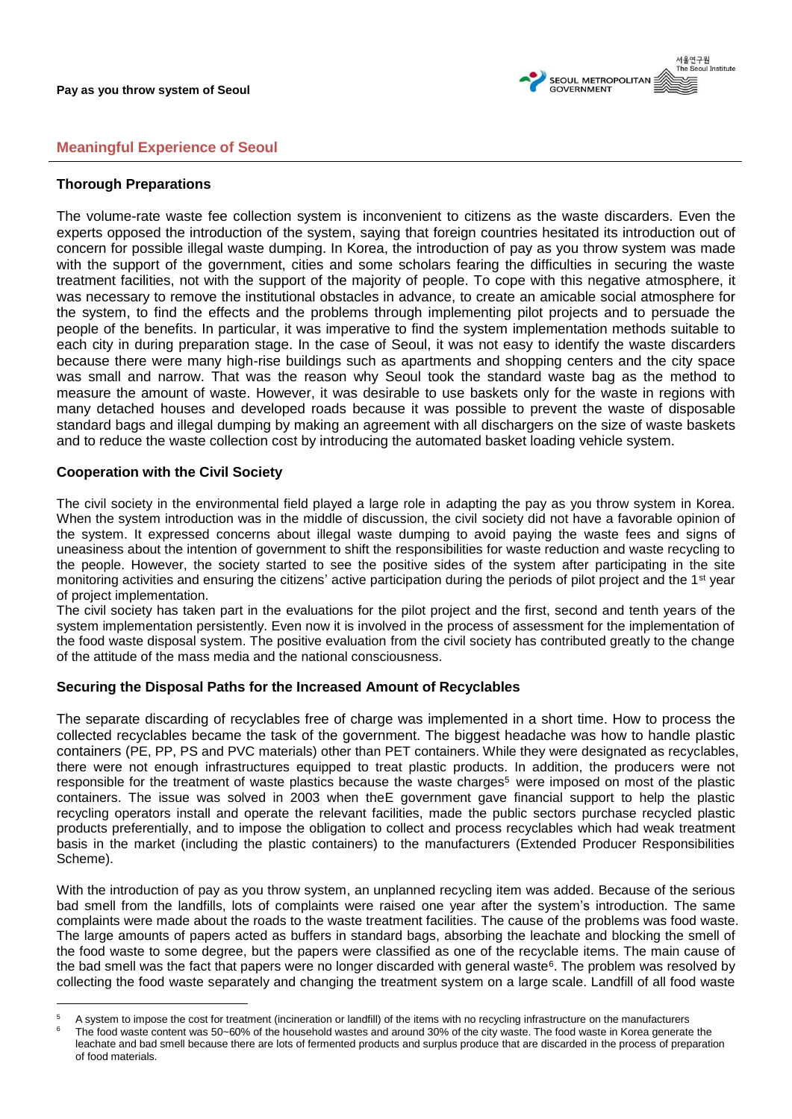

# **Meaningful Experience of Seoul**

## **Thorough Preparations**

The volume-rate waste fee collection system is inconvenient to citizens as the waste discarders. Even the experts opposed the introduction of the system, saying that foreign countries hesitated its introduction out of concern for possible illegal waste dumping. In Korea, the introduction of pay as you throw system was made with the support of the government, cities and some scholars fearing the difficulties in securing the waste treatment facilities, not with the support of the majority of people. To cope with this negative atmosphere, it was necessary to remove the institutional obstacles in advance, to create an amicable social atmosphere for the system, to find the effects and the problems through implementing pilot projects and to persuade the people of the benefits. In particular, it was imperative to find the system implementation methods suitable to each city in during preparation stage. In the case of Seoul, it was not easy to identify the waste discarders because there were many high-rise buildings such as apartments and shopping centers and the city space was small and narrow. That was the reason why Seoul took the standard waste bag as the method to measure the amount of waste. However, it was desirable to use baskets only for the waste in regions with many detached houses and developed roads because it was possible to prevent the waste of disposable standard bags and illegal dumping by making an agreement with all dischargers on the size of waste baskets and to reduce the waste collection cost by introducing the automated basket loading vehicle system.

## **Cooperation with the Civil Society**

The civil society in the environmental field played a large role in adapting the pay as you throw system in Korea. When the system introduction was in the middle of discussion, the civil society did not have a favorable opinion of the system. It expressed concerns about illegal waste dumping to avoid paying the waste fees and signs of uneasiness about the intention of government to shift the responsibilities for waste reduction and waste recycling to the people. However, the society started to see the positive sides of the system after participating in the site monitoring activities and ensuring the citizens' active participation during the periods of pilot project and the 1<sup>st</sup> year of project implementation.

The civil society has taken part in the evaluations for the pilot project and the first, second and tenth years of the system implementation persistently. Even now it is involved in the process of assessment for the implementation of the food waste disposal system. The positive evaluation from the civil society has contributed greatly to the change of the attitude of the mass media and the national consciousness.

# **Securing the Disposal Paths for the Increased Amount of Recyclables**

The separate discarding of recyclables free of charge was implemented in a short time. How to process the collected recyclables became the task of the government. The biggest headache was how to handle plastic containers (PE, PP, PS and PVC materials) other than PET containers. While they were designated as recyclables, there were not enough infrastructures equipped to treat plastic products. In addition, the producers were not responsible for the treatment of waste plastics because the waste charges<sup>5</sup> were imposed on most of the plastic containers. The issue was solved in 2003 when theE government gave financial support to help the plastic recycling operators install and operate the relevant facilities, made the public sectors purchase recycled plastic products preferentially, and to impose the obligation to collect and process recyclables which had weak treatment basis in the market (including the plastic containers) to the manufacturers (Extended Producer Responsibilities Scheme).

With the introduction of pay as you throw system, an unplanned recycling item was added. Because of the serious bad smell from the landfills, lots of complaints were raised one year after the system's introduction. The same complaints were made about the roads to the waste treatment facilities. The cause of the problems was food waste. The large amounts of papers acted as buffers in standard bags, absorbing the leachate and blocking the smell of the food waste to some degree, but the papers were classified as one of the recyclable items. The main cause of the bad smell was the fact that papers were no longer discarded with general waste<sup>6</sup>. The problem was resolved by collecting the food waste separately and changing the treatment system on a large scale. Landfill of all food waste

 $5$  A system to impose the cost for treatment (incineration or landfill) of the items with no recycling infrastructure on the manufacturers<br> $\frac{6}{10}$ . The feed wester expected we EQ 60% of the beyophold wester and ground

The food waste content was 50~60% of the household wastes and around 30% of the city waste. The food waste in Korea generate the leachate and bad smell because there are lots of fermented products and surplus produce that are discarded in the process of preparation of food materials.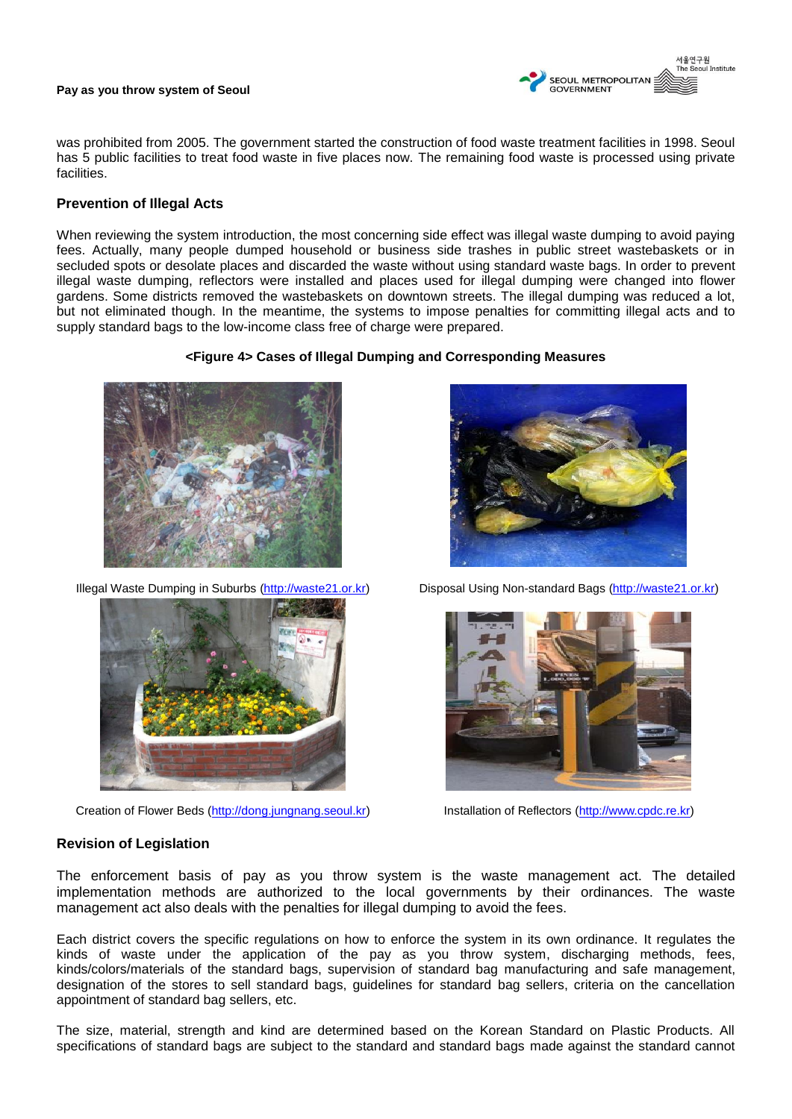

was prohibited from 2005. The government started the construction of food waste treatment facilities in 1998. Seoul has 5 public facilities to treat food waste in five places now. The remaining food waste is processed using private facilities.

## **Prevention of Illegal Acts**

When reviewing the system introduction, the most concerning side effect was illegal waste dumping to avoid paying fees. Actually, many people dumped household or business side trashes in public street wastebaskets or in secluded spots or desolate places and discarded the waste without using standard waste bags. In order to prevent illegal waste dumping, reflectors were installed and places used for illegal dumping were changed into flower gardens. Some districts removed the wastebaskets on downtown streets. The illegal dumping was reduced a lot, but not eliminated though. In the meantime, the systems to impose penalties for committing illegal acts and to supply standard bags to the low-income class free of charge were prepared.

#### **<Figure 4> Cases of Illegal Dumping and Corresponding Measures**





Creation of Flower Beds [\(http://dong.jungnang.seoul.kr\)](http://dong.jungnang.seoul.kr/) Installation of Reflectors [\(http://www.cpdc.re.kr\)](http://www.cpdc.re.kr/)



Illegal Waste Dumping in Suburbs [\(http://waste21.or.kr\)](http://waste21.or.kr/) Disposal Using Non-standard Bags (http://waste21.or.kr)



## **Revision of Legislation**

The enforcement basis of pay as you throw system is the waste management act. The detailed implementation methods are authorized to the local governments by their ordinances. The waste management act also deals with the penalties for illegal dumping to avoid the fees.

Each district covers the specific regulations on how to enforce the system in its own ordinance. It regulates the kinds of waste under the application of the pay as you throw system, discharging methods, fees, kinds/colors/materials of the standard bags, supervision of standard bag manufacturing and safe management, designation of the stores to sell standard bags, guidelines for standard bag sellers, criteria on the cancellation appointment of standard bag sellers, etc.

The size, material, strength and kind are determined based on the Korean Standard on Plastic Products. All specifications of standard bags are subject to the standard and standard bags made against the standard cannot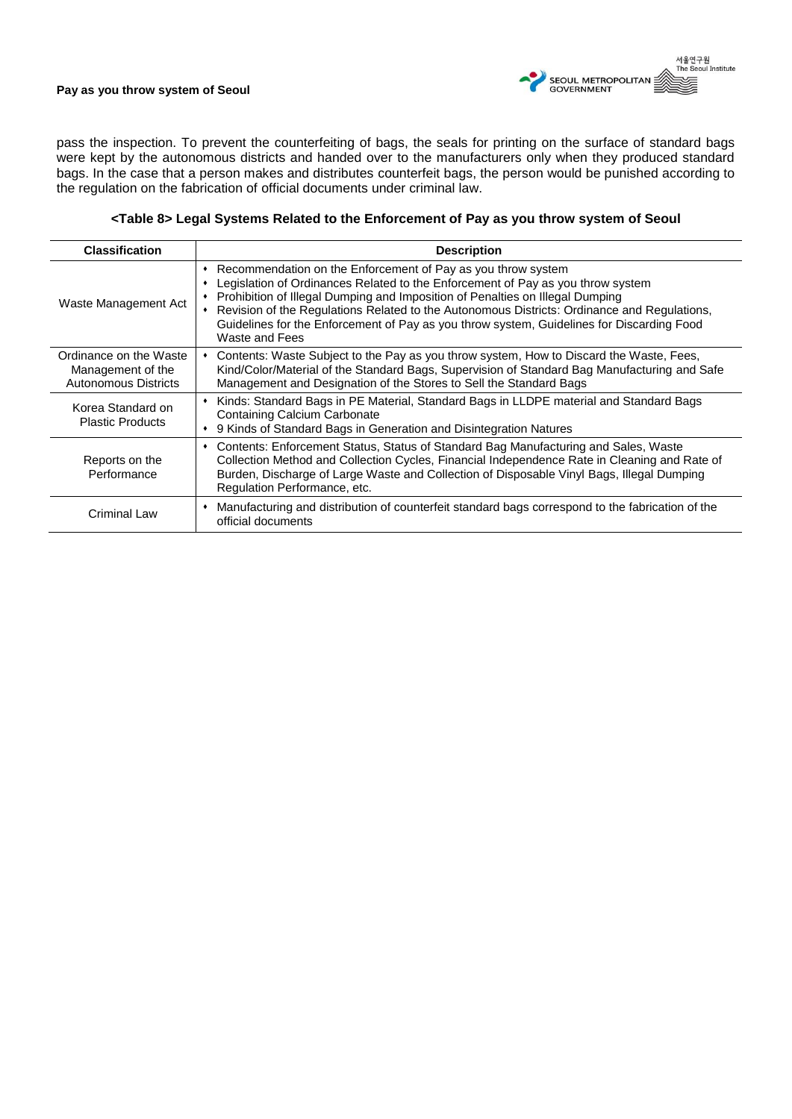

pass the inspection. To prevent the counterfeiting of bags, the seals for printing on the surface of standard bags were kept by the autonomous districts and handed over to the manufacturers only when they produced standard bags. In the case that a person makes and distributes counterfeit bags, the person would be punished according to the regulation on the fabrication of official documents under criminal law.

## **<Table 8> Legal Systems Related to the Enforcement of Pay as you throw system of Seoul**

| <b>Classification</b>                                               | <b>Description</b>                                                                                                                                                                                                                                                                                                                                                                                                                                  |
|---------------------------------------------------------------------|-----------------------------------------------------------------------------------------------------------------------------------------------------------------------------------------------------------------------------------------------------------------------------------------------------------------------------------------------------------------------------------------------------------------------------------------------------|
| Waste Management Act                                                | Recommendation on the Enforcement of Pay as you throw system<br>٠<br>Legislation of Ordinances Related to the Enforcement of Pay as you throw system<br>Prohibition of Illegal Dumping and Imposition of Penalties on Illegal Dumping<br>Revision of the Regulations Related to the Autonomous Districts: Ordinance and Regulations,<br>Guidelines for the Enforcement of Pay as you throw system, Guidelines for Discarding Food<br>Waste and Fees |
| Ordinance on the Waste<br>Management of the<br>Autonomous Districts | Contents: Waste Subject to the Pay as you throw system, How to Discard the Waste, Fees,<br>Kind/Color/Material of the Standard Bags, Supervision of Standard Bag Manufacturing and Safe<br>Management and Designation of the Stores to Sell the Standard Bags                                                                                                                                                                                       |
| Korea Standard on<br><b>Plastic Products</b>                        | Kinds: Standard Bags in PE Material, Standard Bags in LLDPE material and Standard Bags<br>Containing Calcium Carbonate<br>9 Kinds of Standard Bags in Generation and Disintegration Natures                                                                                                                                                                                                                                                         |
| Reports on the<br>Performance                                       | Contents: Enforcement Status, Status of Standard Bag Manufacturing and Sales, Waste<br>٠<br>Collection Method and Collection Cycles, Financial Independence Rate in Cleaning and Rate of<br>Burden, Discharge of Large Waste and Collection of Disposable Vinyl Bags, Illegal Dumping<br>Regulation Performance, etc.                                                                                                                               |
| Criminal Law                                                        | Manufacturing and distribution of counterfeit standard bags correspond to the fabrication of the<br>official documents                                                                                                                                                                                                                                                                                                                              |